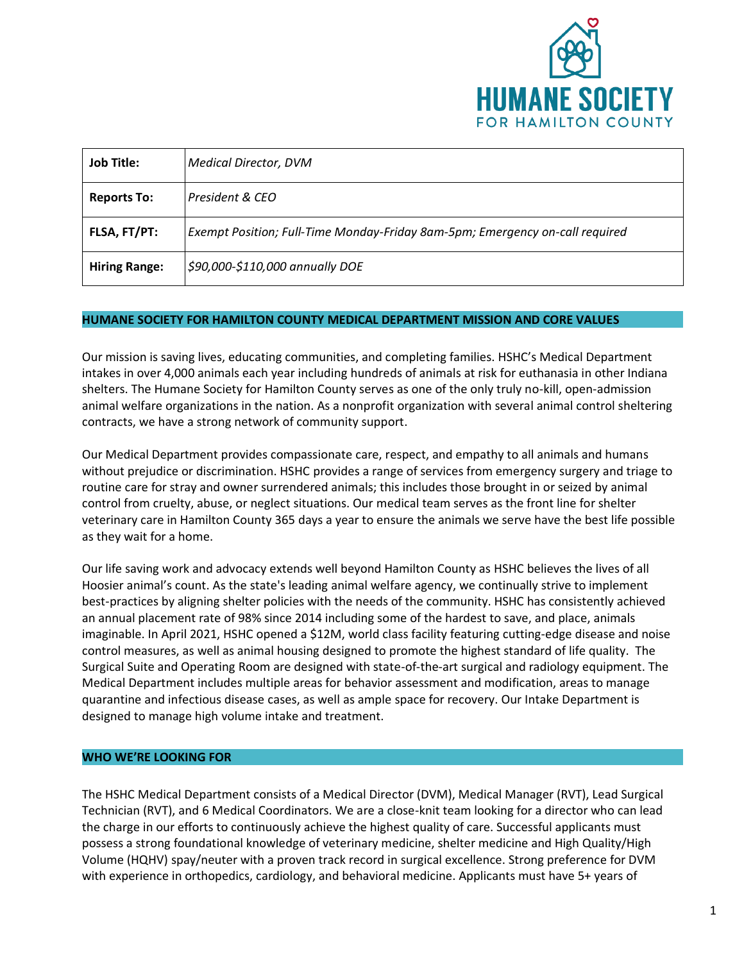

| <b>Job Title:</b>    | Medical Director, DVM                                                        |
|----------------------|------------------------------------------------------------------------------|
| <b>Reports To:</b>   | President & CEO                                                              |
| FLSA, FT/PT:         | Exempt Position; Full-Time Monday-Friday 8am-5pm; Emergency on-call required |
| <b>Hiring Range:</b> | \$90,000-\$110,000 annually DOE                                              |

#### **HUMANE SOCIETY FOR HAMILTON COUNTY MEDICAL DEPARTMENT MISSION AND CORE VALUES**

Our mission is saving lives, educating communities, and completing families. HSHC's Medical Department intakes in over 4,000 animals each year including hundreds of animals at risk for euthanasia in other Indiana shelters. The Humane Society for Hamilton County serves as one of the only truly no-kill, open-admission animal welfare organizations in the nation. As a nonprofit organization with several animal control sheltering contracts, we have a strong network of community support.

Our Medical Department provides compassionate care, respect, and empathy to all animals and humans without prejudice or discrimination. HSHC provides a range of services from emergency surgery and triage to routine care for stray and owner surrendered animals; this includes those brought in or seized by animal control from cruelty, abuse, or neglect situations. Our medical team serves as the front line for shelter veterinary care in Hamilton County 365 days a year to ensure the animals we serve have the best life possible as they wait for a home.

Our life saving work and advocacy extends well beyond Hamilton County as HSHC believes the lives of all Hoosier animal's count. As the state's leading animal welfare agency, we continually strive to implement best-practices by aligning shelter policies with the needs of the community. HSHC has consistently achieved an annual placement rate of 98% since 2014 including some of the hardest to save, and place, animals imaginable. In April 2021, HSHC opened a \$12M, world class facility featuring cutting-edge disease and noise control measures, as well as animal housing designed to promote the highest standard of life quality. The Surgical Suite and Operating Room are designed with state-of-the-art surgical and radiology equipment. The Medical Department includes multiple areas for behavior assessment and modification, areas to manage quarantine and infectious disease cases, as well as ample space for recovery. Our Intake Department is designed to manage high volume intake and treatment.

### **WHO WE'RE LOOKING FOR**

The HSHC Medical Department consists of a Medical Director (DVM), Medical Manager (RVT), Lead Surgical Technician (RVT), and 6 Medical Coordinators. We are a close-knit team looking for a director who can lead the charge in our efforts to continuously achieve the highest quality of care. Successful applicants must possess a strong foundational knowledge of veterinary medicine, shelter medicine and High Quality/High Volume (HQHV) spay/neuter with a proven track record in surgical excellence. Strong preference for DVM with experience in orthopedics, cardiology, and behavioral medicine. Applicants must have 5+ years of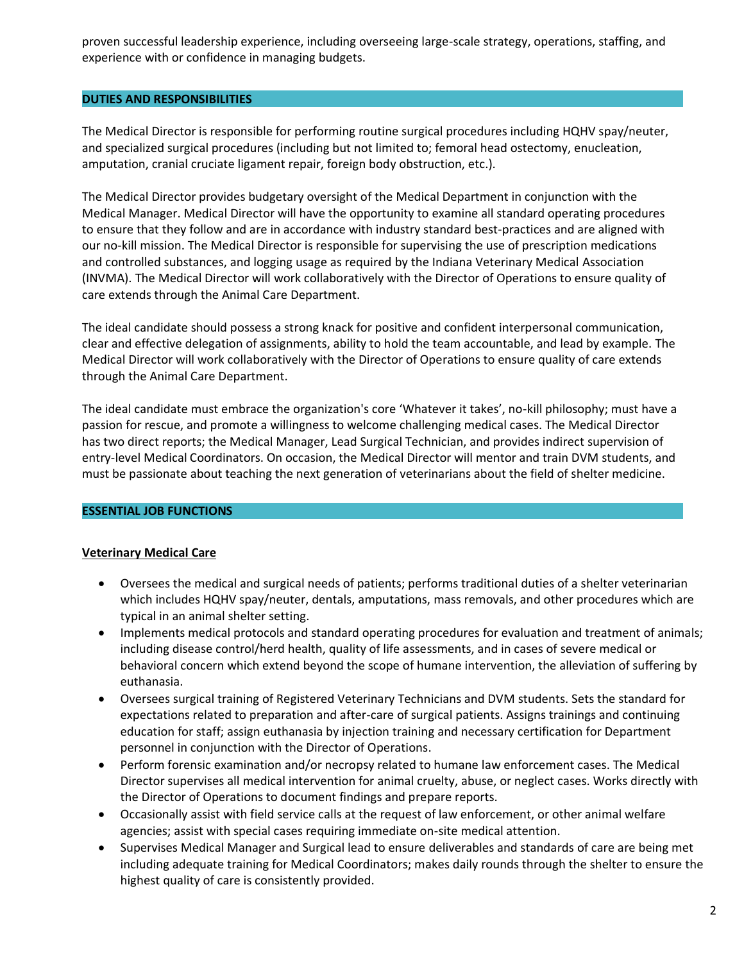proven successful leadership experience, including overseeing large-scale strategy, operations, staffing, and experience with or confidence in managing budgets.

## **DUTIES AND RESPONSIBILITIES**

The Medical Director is responsible for performing routine surgical procedures including HQHV spay/neuter, and specialized surgical procedures (including but not limited to; femoral head ostectomy, enucleation, amputation, cranial cruciate ligament repair, foreign body obstruction, etc.).

The Medical Director provides budgetary oversight of the Medical Department in conjunction with the Medical Manager. Medical Director will have the opportunity to examine all standard operating procedures to ensure that they follow and are in accordance with industry standard best-practices and are aligned with our no-kill mission. The Medical Director is responsible for supervising the use of prescription medications and controlled substances, and logging usage as required by the Indiana Veterinary Medical Association (INVMA). The Medical Director will work collaboratively with the Director of Operations to ensure quality of care extends through the Animal Care Department.

The ideal candidate should possess a strong knack for positive and confident interpersonal communication, clear and effective delegation of assignments, ability to hold the team accountable, and lead by example. The Medical Director will work collaboratively with the Director of Operations to ensure quality of care extends through the Animal Care Department.

The ideal candidate must embrace the organization's core 'Whatever it takes', no-kill philosophy; must have a passion for rescue, and promote a willingness to welcome challenging medical cases. The Medical Director has two direct reports; the Medical Manager, Lead Surgical Technician, and provides indirect supervision of entry-level Medical Coordinators. On occasion, the Medical Director will mentor and train DVM students, and must be passionate about teaching the next generation of veterinarians about the field of shelter medicine.

### **ESSENTIAL JOB FUNCTIONS**

## **Veterinary Medical Care**

- Oversees the medical and surgical needs of patients; performs traditional duties of a shelter veterinarian which includes HQHV spay/neuter, dentals, amputations, mass removals, and other procedures which are typical in an animal shelter setting.
- Implements medical protocols and standard operating procedures for evaluation and treatment of animals; including disease control/herd health, quality of life assessments, and in cases of severe medical or behavioral concern which extend beyond the scope of humane intervention, the alleviation of suffering by euthanasia.
- Oversees surgical training of Registered Veterinary Technicians and DVM students. Sets the standard for expectations related to preparation and after-care of surgical patients. Assigns trainings and continuing education for staff; assign euthanasia by injection training and necessary certification for Department personnel in conjunction with the Director of Operations.
- Perform forensic examination and/or necropsy related to humane law enforcement cases. The Medical Director supervises all medical intervention for animal cruelty, abuse, or neglect cases. Works directly with the Director of Operations to document findings and prepare reports.
- Occasionally assist with field service calls at the request of law enforcement, or other animal welfare agencies; assist with special cases requiring immediate on-site medical attention.
- Supervises Medical Manager and Surgical lead to ensure deliverables and standards of care are being met including adequate training for Medical Coordinators; makes daily rounds through the shelter to ensure the highest quality of care is consistently provided.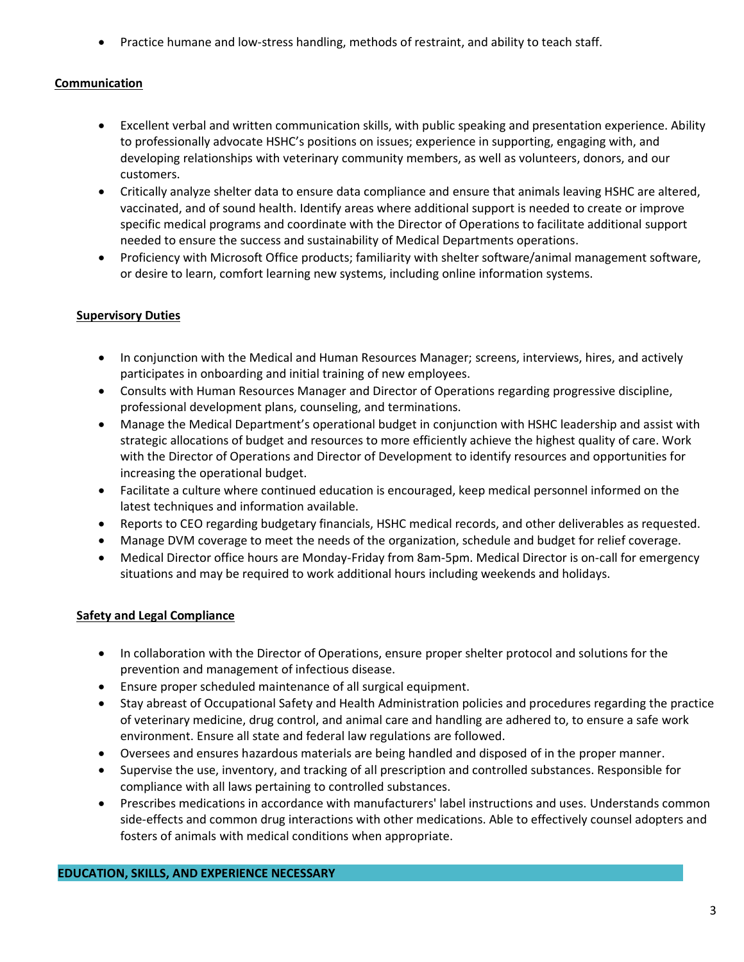• Practice humane and low-stress handling, methods of restraint, and ability to teach staff.

# **Communication**

- Excellent verbal and written communication skills, with public speaking and presentation experience. Ability to professionally advocate HSHC's positions on issues; experience in supporting, engaging with, and developing relationships with veterinary community members, as well as volunteers, donors, and our customers.
- Critically analyze shelter data to ensure data compliance and ensure that animals leaving HSHC are altered, vaccinated, and of sound health. Identify areas where additional support is needed to create or improve specific medical programs and coordinate with the Director of Operations to facilitate additional support needed to ensure the success and sustainability of Medical Departments operations.
- Proficiency with Microsoft Office products; familiarity with shelter software/animal management software, or desire to learn, comfort learning new systems, including online information systems.

## **Supervisory Duties**

- In conjunction with the Medical and Human Resources Manager; screens, interviews, hires, and actively participates in onboarding and initial training of new employees.
- Consults with Human Resources Manager and Director of Operations regarding progressive discipline, professional development plans, counseling, and terminations.
- Manage the Medical Department's operational budget in conjunction with HSHC leadership and assist with strategic allocations of budget and resources to more efficiently achieve the highest quality of care. Work with the Director of Operations and Director of Development to identify resources and opportunities for increasing the operational budget.
- Facilitate a culture where continued education is encouraged, keep medical personnel informed on the latest techniques and information available.
- Reports to CEO regarding budgetary financials, HSHC medical records, and other deliverables as requested.
- Manage DVM coverage to meet the needs of the organization, schedule and budget for relief coverage.
- Medical Director office hours are Monday-Friday from 8am-5pm. Medical Director is on-call for emergency situations and may be required to work additional hours including weekends and holidays.

## **Safety and Legal Compliance**

- In collaboration with the Director of Operations, ensure proper shelter protocol and solutions for the prevention and management of infectious disease.
- Ensure proper scheduled maintenance of all surgical equipment.
- Stay abreast of Occupational Safety and Health Administration policies and procedures regarding the practice of veterinary medicine, drug control, and animal care and handling are adhered to, to ensure a safe work environment. Ensure all state and federal law regulations are followed.
- Oversees and ensures hazardous materials are being handled and disposed of in the proper manner.
- Supervise the use, inventory, and tracking of all prescription and controlled substances. Responsible for compliance with all laws pertaining to controlled substances.
- Prescribes medications in accordance with manufacturers' label instructions and uses. Understands common side-effects and common drug interactions with other medications. Able to effectively counsel adopters and fosters of animals with medical conditions when appropriate.